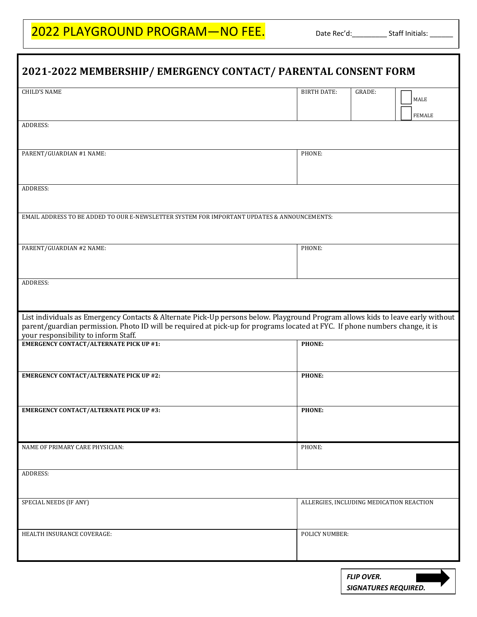## 2022 PLAYGROUND PROGRAM—NO FEE. Date Rec'd:\_\_\_\_\_\_\_\_\_\_Staff Initials: \_\_\_\_\_\_\_\_\_\_\_

| 2021-2022 MEMBERSHIP/ EMERGENCY CONTACT/ PARENTAL CONSENT FORM                                                                                                                                                                                                                                          |                    |                                                  |                                          |  |
|---------------------------------------------------------------------------------------------------------------------------------------------------------------------------------------------------------------------------------------------------------------------------------------------------------|--------------------|--------------------------------------------------|------------------------------------------|--|
| <b>CHILD'S NAME</b>                                                                                                                                                                                                                                                                                     | <b>BIRTH DATE:</b> | GRADE:                                           | MALE<br><b>FEMALE</b>                    |  |
| ADDRESS:                                                                                                                                                                                                                                                                                                |                    |                                                  |                                          |  |
| PARENT/GUARDIAN #1 NAME:                                                                                                                                                                                                                                                                                | PHONE:             |                                                  |                                          |  |
| <b>ADDRESS:</b>                                                                                                                                                                                                                                                                                         |                    |                                                  |                                          |  |
| EMAIL ADDRESS TO BE ADDED TO OUR E-NEWSLETTER SYSTEM FOR IMPORTANT UPDATES & ANNOUNCEMENTS:                                                                                                                                                                                                             |                    |                                                  |                                          |  |
| PARENT/GUARDIAN #2 NAME:                                                                                                                                                                                                                                                                                | PHONE:             |                                                  |                                          |  |
| <b>ADDRESS:</b>                                                                                                                                                                                                                                                                                         |                    |                                                  |                                          |  |
| List individuals as Emergency Contacts & Alternate Pick-Up persons below. Playground Program allows kids to leave early without<br>parent/guardian permission. Photo ID will be required at pick-up for programs located at FYC. If phone numbers change, it is<br>your responsibility to inform Staff. |                    |                                                  |                                          |  |
| <b>EMERGENCY CONTACT/ALTERNATE PICK UP #1:</b>                                                                                                                                                                                                                                                          | <b>PHONE:</b>      |                                                  |                                          |  |
| <b>EMERGENCY CONTACT/ALTERNATE PICK UP #2:</b>                                                                                                                                                                                                                                                          | PHONE:             |                                                  |                                          |  |
| <b>EMERGENCY CONTACT/ALTERNATE PICK UP #3:</b>                                                                                                                                                                                                                                                          | <b>PHONE:</b>      |                                                  |                                          |  |
| NAME OF PRIMARY CARE PHYSICIAN:                                                                                                                                                                                                                                                                         | PHONE:             |                                                  |                                          |  |
| ADDRESS:                                                                                                                                                                                                                                                                                                |                    |                                                  |                                          |  |
| SPECIAL NEEDS (IF ANY)                                                                                                                                                                                                                                                                                  |                    |                                                  | ALLERGIES, INCLUDING MEDICATION REACTION |  |
| HEALTH INSURANCE COVERAGE:                                                                                                                                                                                                                                                                              | POLICY NUMBER:     |                                                  |                                          |  |
|                                                                                                                                                                                                                                                                                                         |                    | <b>FLIP OVER.</b><br><b>SIGNATURES REQUIRED.</b> |                                          |  |